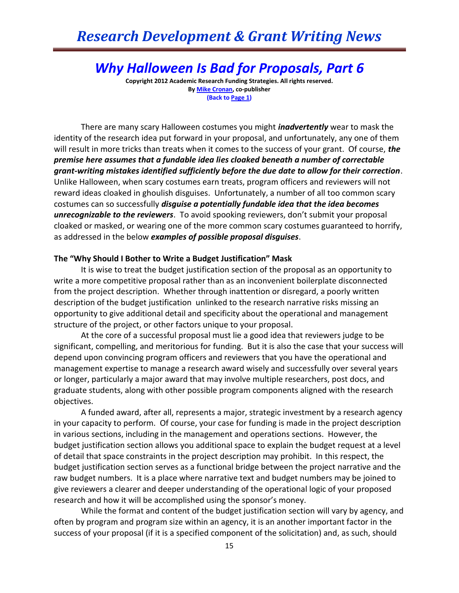# *Research Development & Grant Writing News*

# *Why Halloween Is Bad for Proposals, Part 6*

**Copyright 2012 Academic Research Funding Strategies. All rights reserved. B[y Mike Cronan,](mailto:mjcronan@gmail.com) co-publisher (Back to Page 1)**

There are many scary Halloween costumes you might *inadvertently* wear to mask the identity of the research idea put forward in your proposal, and unfortunately, any one of them will result in more tricks than treats when it comes to the success of your grant. Of course, *the premise here assumes that a fundable idea lies cloaked beneath a number of correctable grant-writing mistakes identified sufficiently before the due date to allow for their correction*. Unlike Halloween, when scary costumes earn treats, program officers and reviewers will not reward ideas cloaked in ghoulish disguises. Unfortunately, a number of all too common scary costumes can so successfully *disguise a potentially fundable idea that the idea becomes unrecognizable to the reviewers*. To avoid spooking reviewers, don't submit your proposal cloaked or masked, or wearing one of the more common scary costumes guaranteed to horrify, as addressed in the below *examples of possible proposal disguises*.

#### **The "Why Should I Bother to Write a Budget Justification" Mask**

It is wise to treat the budget justification section of the proposal as an opportunity to write a more competitive proposal rather than as an inconvenient boilerplate disconnected from the project description. Whether through inattention or disregard, a poorly written description of the budget justification unlinked to the research narrative risks missing an opportunity to give additional detail and specificity about the operational and management structure of the project, or other factors unique to your proposal.

At the core of a successful proposal must lie a good idea that reviewers judge to be significant, compelling, and meritorious for funding. But it is also the case that your success will depend upon convincing program officers and reviewers that you have the operational and management expertise to manage a research award wisely and successfully over several years or longer, particularly a major award that may involve multiple researchers, post docs, and graduate students, along with other possible program components aligned with the research objectives.

A funded award, after all, represents a major, strategic investment by a research agency in your capacity to perform. Of course, your case for funding is made in the project description in various sections, including in the management and operations sections. However, the budget justification section allows you additional space to explain the budget request at a level of detail that space constraints in the project description may prohibit. In this respect, the budget justification section serves as a functional bridge between the project narrative and the raw budget numbers. It is a place where narrative text and budget numbers may be joined to give reviewers a clearer and deeper understanding of the operational logic of your proposed research and how it will be accomplished using the sponsor's money.

While the format and content of the budget justification section will vary by agency, and often by program and program size within an agency, it is an another important factor in the success of your proposal (if it is a specified component of the solicitation) and, as such, should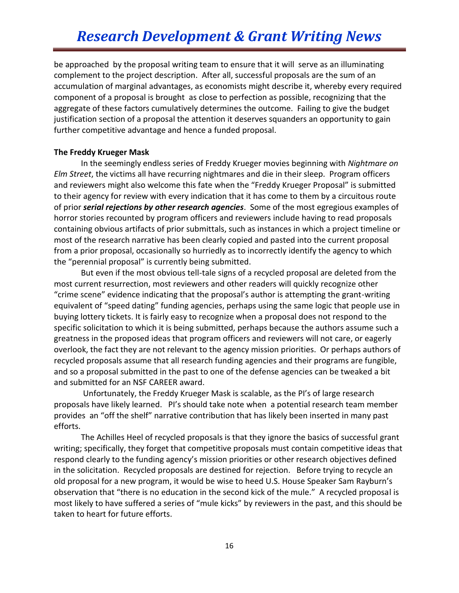be approached by the proposal writing team to ensure that it will serve as an illuminating complement to the project description. After all, successful proposals are the sum of an accumulation of marginal advantages, as economists might describe it, whereby every required component of a proposal is brought as close to perfection as possible, recognizing that the aggregate of these factors cumulatively determines the outcome. Failing to give the budget justification section of a proposal the attention it deserves squanders an opportunity to gain further competitive advantage and hence a funded proposal.

### **The Freddy Krueger Mask**

In the seemingly endless series of Freddy Krueger movies beginning with *Nightmare on Elm Street*, the victims all have recurring nightmares and die in their sleep. Program officers and reviewers might also welcome this fate when the "Freddy Krueger Proposal" is submitted to their agency for review with every indication that it has come to them by a circuitous route of prior *serial rejections by other research agencies*. Some of the most egregious examples of horror stories recounted by program officers and reviewers include having to read proposals containing obvious artifacts of prior submittals, such as instances in which a project timeline or most of the research narrative has been clearly copied and pasted into the current proposal from a prior proposal, occasionally so hurriedly as to incorrectly identify the agency to which the "perennial proposal" is currently being submitted.

But even if the most obvious tell-tale signs of a recycled proposal are deleted from the most current resurrection, most reviewers and other readers will quickly recognize other "crime scene" evidence indicating that the proposal's author is attempting the grant-writing equivalent of "speed dating" funding agencies, perhaps using the same logic that people use in buying lottery tickets. It is fairly easy to recognize when a proposal does not respond to the specific solicitation to which it is being submitted, perhaps because the authors assume such a greatness in the proposed ideas that program officers and reviewers will not care, or eagerly overlook, the fact they are not relevant to the agency mission priorities. Or perhaps authors of recycled proposals assume that all research funding agencies and their programs are fungible, and so a proposal submitted in the past to one of the defense agencies can be tweaked a bit and submitted for an NSF CAREER award.

Unfortunately, the Freddy Krueger Mask is scalable, as the PI's of large research proposals have likely learned. PI's should take note when a potential research team member provides an "off the shelf" narrative contribution that has likely been inserted in many past efforts.

The Achilles Heel of recycled proposals is that they ignore the basics of successful grant writing; specifically, they forget that competitive proposals must contain competitive ideas that respond clearly to the funding agency's mission priorities or other research objectives defined in the solicitation. Recycled proposals are destined for rejection. Before trying to recycle an old proposal for a new program, it would be wise to heed U.S. House Speaker Sam Rayburn's observation that "there is no education in the second kick of the mule." A recycled proposal is most likely to have suffered a series of "mule kicks" by reviewers in the past, and this should be taken to heart for future efforts.